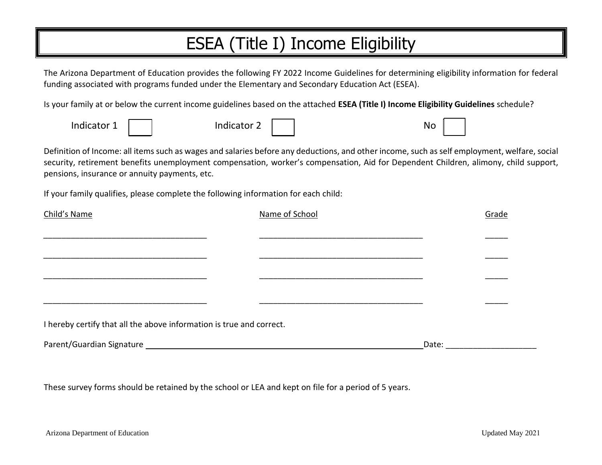# ESEA (Title I) Income Eligibility

The Arizona Department of Education provides the following FY 2022 Income Guidelines for determining eligibility information for federal funding associated with programs funded under the Elementary and Secondary Education Act (ESEA).

Is your family at or below the current income guidelines based on the attached **ESEA (Title I) Income Eligibility Guidelines** schedule?

| Indicator <sup>1</sup> | Indicator<br>-<br>▃ | No |
|------------------------|---------------------|----|
|------------------------|---------------------|----|

Definition of Income: all items such as wages and salaries before any deductions, and other income, such as self employment, welfare, social security, retirement benefits unemployment compensation, worker's compensation, Aid for Dependent Children, alimony, child support, pensions, insurance or annuity payments, etc.

If your family qualifies, please complete the following information for each child:

| Child's Name                                                         | Name of School | Grade |
|----------------------------------------------------------------------|----------------|-------|
|                                                                      |                |       |
|                                                                      |                |       |
|                                                                      |                |       |
|                                                                      |                |       |
|                                                                      |                |       |
| I hereby certify that all the above information is true and correct. |                |       |
| Parent/Guardian Signature                                            |                | Date: |

These survey forms should be retained by the school or LEA and kept on file for a period of 5 years.